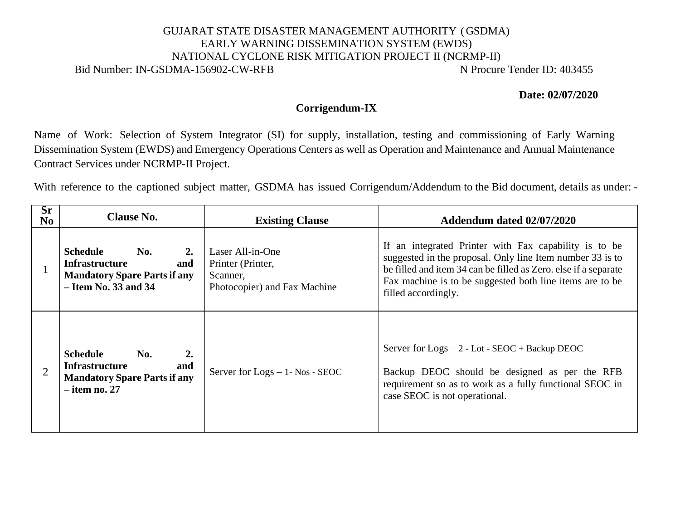## GUJARAT STATE DISASTER MANAGEMENT AUTHORITY (GSDMA) EARLY WARNING DISSEMINATION SYSTEM (EWDS) NATIONAL CYCLONE RISK MITIGATION PROJECT II (NCRMP-II) Bid Number: IN-GSDMA-156902-CW-RFB N Procure Tender ID: 403455

**Date: 02/07/2020**

## **Corrigendum-IX**

Name of Work: Selection of System Integrator (SI) for supply, installation, testing and commissioning of Early Warning Dissemination System (EWDS) and Emergency Operations Centers as well as Operation and Maintenance and Annual Maintenance Contract Services under NCRMP-II Project.

With reference to the captioned subject matter, GSDMA has issued Corrigendum/Addendum to the Bid document, details as under: -

| $S_{r}$<br>N <sub>0</sub> | <b>Clause No.</b>                                                                                                             | <b>Existing Clause</b>                                                            | Addendum dated 02/07/2020                                                                                                                                                                                                                                                |
|---------------------------|-------------------------------------------------------------------------------------------------------------------------------|-----------------------------------------------------------------------------------|--------------------------------------------------------------------------------------------------------------------------------------------------------------------------------------------------------------------------------------------------------------------------|
|                           | <b>Schedule</b><br>No.<br>2.<br><b>Infrastructure</b><br>and<br><b>Mandatory Spare Parts if any</b><br>$-$ Item No. 33 and 34 | Laser All-in-One<br>Printer (Printer,<br>Scanner,<br>Photocopier) and Fax Machine | If an integrated Printer with Fax capability is to be<br>suggested in the proposal. Only line Item number 33 is to<br>be filled and item 34 can be filled as Zero. else if a separate<br>Fax machine is to be suggested both line items are to be<br>filled accordingly. |
| $\overline{2}$            | <b>Schedule</b><br>2.<br>No.<br><b>Infrastructure</b><br>and<br><b>Mandatory Spare Parts if any</b><br>$-$ item no. 27        | Server for $Logs - 1 - Nos - SEOC$                                                | Server for $Logs - 2 - Lot - SEOC + Backup DEOC$<br>Backup DEOC should be designed as per the RFB<br>requirement so as to work as a fully functional SEOC in<br>case SEOC is not operational.                                                                            |